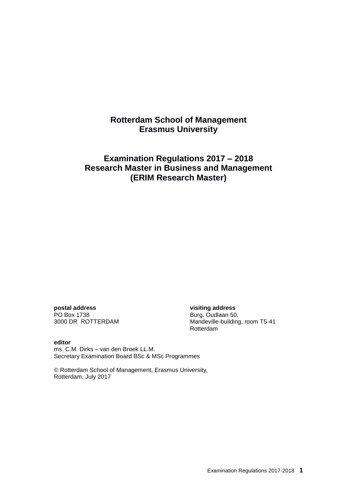# **Rotterdam School of Management Erasmus University**

# **Examination Regulations 2017 – 2018 Research Master in Business and Management (ERIM Research Master)**

**postal address visiting address** PO Box 1738<br>3000 DR ROTTERDAM Mandeville-building

Mandeville-building, room T5-41 Rotterdam

#### **editor**

ms. C.M. Dirks – van den Broek LL.M. Secretary Examination Board BSc & MSc Programmes

© Rotterdam School of Management, Erasmus University, Rotterdam, July 2017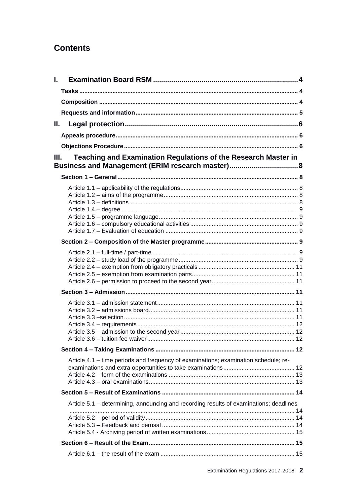# **Contents**

| L. |                                                                                        |  |
|----|----------------------------------------------------------------------------------------|--|
|    |                                                                                        |  |
|    |                                                                                        |  |
|    |                                                                                        |  |
| Н. |                                                                                        |  |
|    |                                                                                        |  |
|    |                                                                                        |  |
| Ш. | Teaching and Examination Regulations of the Research Master in                         |  |
|    | Business and Management (ERIM research master)8                                        |  |
|    |                                                                                        |  |
|    |                                                                                        |  |
|    |                                                                                        |  |
|    |                                                                                        |  |
|    |                                                                                        |  |
|    |                                                                                        |  |
|    |                                                                                        |  |
|    |                                                                                        |  |
|    |                                                                                        |  |
|    |                                                                                        |  |
|    |                                                                                        |  |
|    |                                                                                        |  |
|    |                                                                                        |  |
|    |                                                                                        |  |
|    |                                                                                        |  |
|    |                                                                                        |  |
|    |                                                                                        |  |
|    |                                                                                        |  |
|    |                                                                                        |  |
|    |                                                                                        |  |
|    |                                                                                        |  |
|    | Article 4.1 - time periods and frequency of examinations; examination schedule; re-    |  |
|    |                                                                                        |  |
|    |                                                                                        |  |
|    |                                                                                        |  |
|    | Article 5.1 - determining, announcing and recording results of examinations; deadlines |  |
|    |                                                                                        |  |
|    |                                                                                        |  |
|    |                                                                                        |  |
|    |                                                                                        |  |
|    |                                                                                        |  |
|    |                                                                                        |  |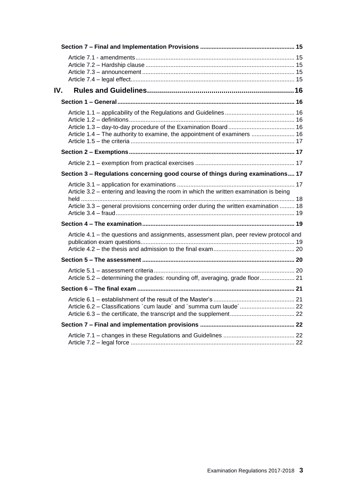| IV. |                                                                                                                                                                               |  |
|-----|-------------------------------------------------------------------------------------------------------------------------------------------------------------------------------|--|
|     |                                                                                                                                                                               |  |
|     | Article 1.4 – The authority to examine, the appointment of examiners  16                                                                                                      |  |
|     |                                                                                                                                                                               |  |
|     |                                                                                                                                                                               |  |
|     | Section 3 - Regulations concerning good course of things during examinations 17                                                                                               |  |
|     | Article 3.2 – entering and leaving the room in which the written examination is being<br>Article 3.3 – general provisions concerning order during the written examination  18 |  |
|     |                                                                                                                                                                               |  |
|     | Article 4.1 - the questions and assignments, assessment plan, peer review protocol and                                                                                        |  |
|     |                                                                                                                                                                               |  |
|     | Article 5.2 – determining the grades: rounding off, averaging, grade floor 21                                                                                                 |  |
|     |                                                                                                                                                                               |  |
|     | Article 6.2 - Classifications 'cum laude' and 'summa cum laude' 22                                                                                                            |  |
|     |                                                                                                                                                                               |  |
|     |                                                                                                                                                                               |  |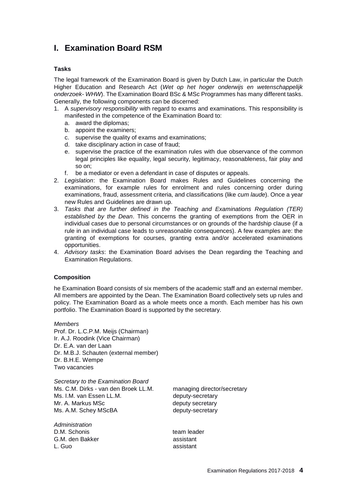# <span id="page-3-0"></span>**I. Examination Board RSM**

# <span id="page-3-1"></span>**Tasks**

The legal framework of the Examination Board is given by Dutch Law, in particular the Dutch Higher Education and Research Act (*Wet op het hoger onderwijs en wetenschappelijk onderzoek- WHW*). The Examination Board BSc & MSc Programmes has many different tasks. Generally, the following components can be discerned:

- 1. A *supervisory responsibility* with regard to exams and examinations. This responsibility is manifested in the competence of the Examination Board to:
	- a. award the diplomas;
	- b. appoint the examiners;
	- c. supervise the quality of exams and examinations;
	- d. take disciplinary action in case of fraud;
	- e. supervise the practice of the examination rules with due observance of the common legal principles like equality, legal security, legitimacy, reasonableness, fair play and so on;
	- f. be a mediator or even a defendant in case of disputes or appeals.
- 2. *Legislation*: the Examination Board makes Rules and Guidelines concerning the examinations, for example rules for enrolment and rules concerning order during examinations, fraud, assessment criteria, and classifications (like *cum laude*). Once a year new Rules and Guidelines are drawn up.
- 3. *Tasks that are further defined in the Teaching and Examinations Regulation (TER) established by the Dean*. This concerns the granting of exemptions from the OER in individual cases due to personal circumstances or on grounds of the hardship clause (if a rule in an individual case leads to unreasonable consequences). A few examples are: the granting of exemptions for courses, granting extra and/or accelerated examinations opportunities.
- 4. *Advisory tasks*: the Examination Board advises the Dean regarding the Teaching and Examination Regulations.

#### <span id="page-3-2"></span>**Composition**

he Examination Board consists of six members of the academic staff and an external member. All members are appointed by the Dean. The Examination Board collectively sets up rules and policy. The Examination Board as a whole meets once a month. Each member has his own portfolio. The Examination Board is supported by the secretary.

*Members* Prof. Dr. L.C.P.M. Meijs (Chairman) Ir. A.J. Roodink (Vice Chairman) Dr. E.A. van der Laan Dr. M.B.J. Schauten (external member) Dr. B.H.E. Wempe Two vacancies

*Secretary to the Examination Board* Ms. C.M. Dirks - van den Broek LL.M. managing director/secretary Ms. I.M. van Essen LL.M. **Example 20 and 11 and 12 and 13 and 14 and 14 and 14 and 14 and 14 and 14 and 14 and 14 and 14 and 14 and 14 and 14 and 14 and 14 and 14 and 14 and 14 and 14 and 14 and 14 and 14 and 14 and 14 and** Mr. A. Markus MSc between the deputy secretary Ms. A.M. Schey MScBA deputy-secretary

*Administration* D.M. Schonis team leader G.M. den Bakker assistant L. Guo assistant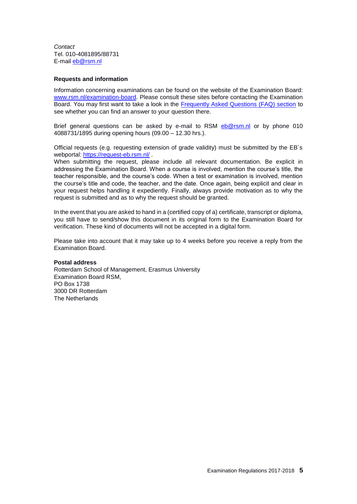*Contact* Tel. 010-4081895/88731 E-mail [eb@rsm.nl](mailto:eb@rsm.nl)

### <span id="page-4-0"></span>**Requests and information**

Information concerning examinations can be found on the website of the Examination Board: [www.rsm.nl/examination-board.](http://www.rsm.nl/examination-board) Please consult these sites before contacting the Examination Board. You may first want to take a look in the [Frequently Asked Questions \(FAQ\) section](http://www.rsm.nl/examination-board/frequently-asked-questions-faqs/) to see whether you can find an answer to your question there.

Brief general questions can be asked by e-mail to RSM [eb@rsm.nl](mailto:eb@rsm.nl) or by phone 010 4088731/1895 during opening hours (09.00 – 12.30 hrs.).

Official requests (e.g. requesting extension of grade validity) must be submitted by the EB´s webportal:<https://request-eb.rsm.nl/> .

When submitting the request, please include all relevant documentation. Be explicit in addressing the Examination Board. When a course is involved, mention the course's title, the teacher responsible, and the course's code. When a test or examination is involved, mention the course's title and code, the teacher, and the date. Once again, being explicit and clear in your request helps handling it expediently. Finally, always provide motivation as to why the request is submitted and as to why the request should be granted.

In the event that you are asked to hand in a (certified copy of a) certificate, transcript or diploma, you still have to send/show this document in its original form to the Examination Board for verification. These kind of documents will not be accepted in a digital form.

Please take into account that it may take up to 4 weeks before you receive a reply from the Examination Board.

#### **Postal address**

Rotterdam School of Management, Erasmus University Examination Board RSM, PO Box 1738 3000 DR Rotterdam The Netherlands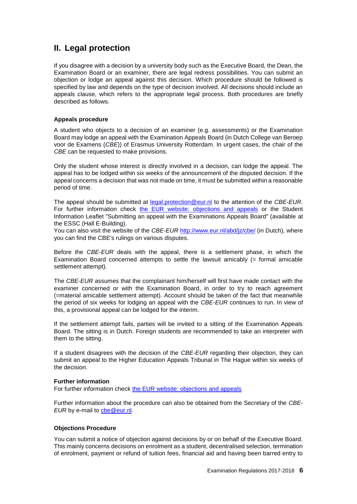# <span id="page-5-0"></span>**II. Legal protection**

If you disagree with a decision by a university body such as the Executive Board, the Dean, the Examination Board or an examiner, there are legal redress possibilities. You can submit an objection or lodge an appeal against this decision. Which procedure should be followed is specified by law and depends on the type of decision involved. All decisions should include an appeals clause, which refers to the appropriate legal process. Both procedures are briefly described as follows.

## <span id="page-5-1"></span>**Appeals procedure**

A student who objects to a decision of an examiner (e.g. assessments) or the Examination Board may lodge an appeal with the Examination Appeals Board (in Dutch College van Beroep voor de Examens (*CBE*)) of Erasmus University Rotterdam. In urgent cases, the chair of the *CBE* can be requested to make provisions.

Only the student whose interest is directly involved in a decision, can lodge the appeal. The appeal has to be lodged within six weeks of the announcement of the disputed decision. If the appeal concerns a decision that was not made on time, it must be submitted within a reasonable period of time.

The appeal should be submitted at [legal.protection@eur.nl](mailto:legal.protection@eur.nl) to the attention of the *CBE*-*EUR*. For further information check [the EUR website: objections and appeals](http://www.eur.nl/english/essc/legal_position/objections_and_appeals/) or the Student Information Leaflet "Submitting an appeal with the Examinations Appeals Board" (available at the ESSC (Hall E-Building).

You can also visit the website of the *CBE-EUR* <http://www.eur.nl/abd/jz/cbe/> (in Dutch), where you can find the CBE's rulings on various disputes.

Before the *CBE*-*EUR* deals with the appeal, there is a settlement phase, in which the Examination Board concerned attempts to settle the lawsuit amicably  $(=$  formal amicable settlement attempt).

The *CBE*-*EUR* assumes that the complainant him/herself will first have made contact with the examiner concerned or with the Examination Board, in order to try to reach agreement (=material amicable settlement attempt). Account should be taken of the fact that meanwhile the period of six weeks for lodging an appeal with the *CBE*-*EUR* continues to run. In view of this, a provisional appeal can be lodged for the interim.

If the settlement attempt fails, parties will be invited to a sitting of the Examination Appeals Board. The sitting is in Dutch. Foreign students are recommended to take an interpreter with them to the sitting.

If a student disagrees with the decision of the *CBE-EUR* regarding their objection, they can submit an appeal to the Higher Education Appeals Tribunal in The Hague within six weeks of the decision.

#### **Further information**

For further information check [the EUR website: objections and appeals](http://www.eur.nl/english/essc/legal_position/objections_and_appeals)

Further information about the procedure can also be obtained from the Secretary of the *CBE-EUR* by e-mail to [cbe@eur.nl.](mailto:cbe@eur.nl)

# <span id="page-5-2"></span>**Objections Procedure**

You can submit a notice of objection against decisions by or on behalf of the Executive Board. This mainly concerns decisions on enrolment as a student, decentralised selection, termination of enrolment, payment or refund of tuition fees, financial aid and having been barred entry to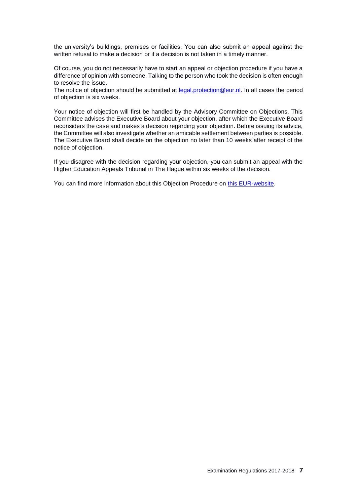the university's buildings, premises or facilities. You can also submit an appeal against the written refusal to make a decision or if a decision is not taken in a timely manner.

Of course, you do not necessarily have to start an appeal or objection procedure if you have a difference of opinion with someone. Talking to the person who took the decision is often enough to resolve the issue.

The notice of objection should be submitted at [legal.protection@eur.nl.](mailto:legal.protection@eur.nl) In all cases the period of objection is six weeks.

Your notice of objection will first be handled by the Advisory Committee on Objections. This Committee advises the Executive Board about your objection, after which the Executive Board reconsiders the case and makes a decision regarding your objection. Before issuing its advice, the Committee will also investigate whether an amicable settlement between parties is possible. The Executive Board shall decide on the objection no later than 10 weeks after receipt of the notice of objection.

If you disagree with the decision regarding your objection, you can submit an appeal with the Higher Education Appeals Tribunal in The Hague within six weeks of the decision.

You can find more information about this Objection Procedure on [this EUR-website.](http://www.eur.nl/english/essc/legal_position/objections_and_appeals/)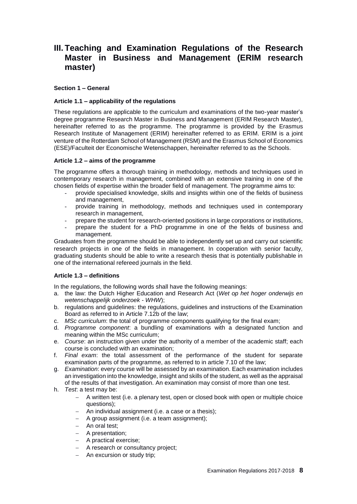# <span id="page-7-0"></span>**III. Teaching and Examination Regulations of the Research Master in Business and Management (ERIM research master)**

## <span id="page-7-1"></span>**Section 1 – General**

## <span id="page-7-2"></span>**Article 1.1 – applicability of the regulations**

These regulations are applicable to the curriculum and examinations of the two-year master's degree programme Research Master in Business and Management (ERIM Research Master), hereinafter referred to as the programme. The programme is provided by the Erasmus Research Institute of Management (ERIM) hereinafter referred to as ERIM. ERIM is a joint venture of the Rotterdam School of Management (RSM) and the Erasmus School of Economics (ESE)/Faculteit der Economische Wetenschappen, hereinafter referred to as the Schools.

## <span id="page-7-3"></span>**Article 1.2 – aims of the programme**

The programme offers a thorough training in methodology, methods and techniques used in contemporary research in management, combined with an extensive training in one of the chosen fields of expertise within the broader field of management. The programme aims to:

- provide specialised knowledge, skills and insights within one of the fields of business and management,
- provide training in methodology, methods and techniques used in contemporary research in management,
- prepare the student for research-oriented positions in large corporations or institutions,
- prepare the student for a PhD programme in one of the fields of business and management.

Graduates from the programme should be able to independently set up and carry out scientific research projects in one of the fields in management. In cooperation with senior faculty, graduating students should be able to write a research thesis that is potentially publishable in one of the international refereed journals in the field.

# <span id="page-7-4"></span>**Article 1.3 – definitions**

In the regulations, the following words shall have the following meanings:

- a. the law: the Dutch Higher Education and Research Act (*Wet op het hoger onderwijs en wetenschappelijk onderzoek* - *WHW*);
- b. regulations and guidelines: the regulations, guidelines and instructions of the Examination Board as referred to in Article 7.12b of the law;
- c. *MSc curriculum*: the total of programme components qualifying for the final exam;
- d. *Programme component*: a bundling of examinations with a designated function and meaning within the MSc curriculum;
- e. *Course*: an instruction given under the authority of a member of the academic staff; each course is concluded with an examination;
- f. *Final exam*: the total assessment of the performance of the student for separate examination parts of the programme, as referred to in article 7.10 of the law;
- g. *Examination*: every course will be assessed by an examination. Each examination includes an investigation into the knowledge, insight and skills of the student, as well as the appraisal of the results of that investigation. An examination may consist of more than one test.
- h. *Test*: a test may be:
	- A written test (i.e. a plenary test, open or closed book with open or multiple choice questions);
	- An individual assignment (i.e. a case or a thesis);
	- A group assignment (i.e. a team assignment):
	- An oral test:
	- A presentation;
	- A practical exercise;
	- A research or consultancy project;
	- An excursion or study trip;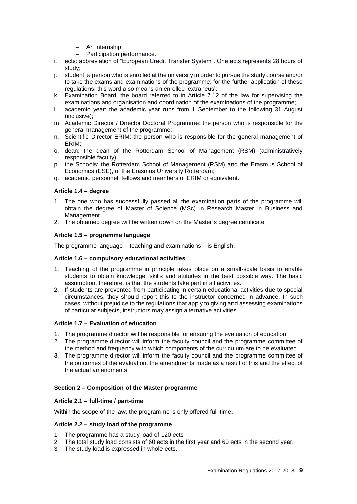- An internship;
- Participation performance.
- i. ects: abbreviation of "European Credit Transfer System". One ects represents 28 hours of study;
- j. student: a person who is enrolled at the university in order to pursue the study course and/or to take the exams and examinations of the programme; for the further application of these regulations, this word also means an enrolled 'extraneus';
- k. Examination Board: the board referred to in Article 7.12 of the law for supervising the examinations and organisation and coordination of the examinations of the programme;
- l. academic year: the academic year runs from 1 September to the following 31 August (inclusive);
- m. Academic Director / Director Doctoral Programme: the person who is responsible for the general management of the programme;
- n. Scientific Director ERIM: the person who is responsible for the general management of ERIM;
- o. dean: the dean of the Rotterdam School of Management (RSM) (administratively responsible faculty);
- p. the Schools: the Rotterdam School of Management (RSM) and the Erasmus School of Economics (ESE), of the Erasmus University Rotterdam;
- q. academic personnel: fellows and members of ERIM or equivalent.

# <span id="page-8-0"></span>**Article 1.4 – degree**

- 1. The one who has successfully passed all the examination parts of the programme will obtain the degree of Master of Science (MSc) in Research Master in Business and Management.
- 2. The obtained degree will be written down on the Master´s degree certificate.

# <span id="page-8-1"></span>**Article 1.5 – programme language**

The programme language – teaching and examinations – is English.

# <span id="page-8-2"></span>**Article 1.6 – compulsory educational activities**

- 1. Teaching of the programme in principle takes place on a small-scale basis to enable students to obtain knowledge, skills and attitudes in the best possible way. The basic assumption, therefore, is that the students take part in all activities.
- 2. If students are prevented from participating in certain educational activities due to special circumstances, they should report this to the instructor concerned in advance. In such cases, without prejudice to the regulations that apply to giving and assessing examinations of particular subjects, instructors may assign alternative activities.

# <span id="page-8-3"></span>**Article 1.7 – Evaluation of education**

- 1. The programme director will be responsible for ensuring the evaluation of education.
- 2. The programme director will inform the faculty council and the programme committee of the method and frequency with which components of the curriculum are to be evaluated.
- 3. The programme director will inform the faculty council and the programme committee of the outcomes of the evaluation, the amendments made as a result of this and the effect of the actual amendments.

# <span id="page-8-4"></span>**Section 2 – Composition of the Master programme**

# <span id="page-8-5"></span>**Article 2.1 – full-time / part-time**

Within the scope of the law, the programme is only offered full-time.

# <span id="page-8-6"></span>**Article 2.2 – study load of the programme**

- 1 The programme has a study load of 120 ects
- 2 The total study load consists of 60 ects in the first year and 60 ects in the second year.
- 3 The study load is expressed in whole ects.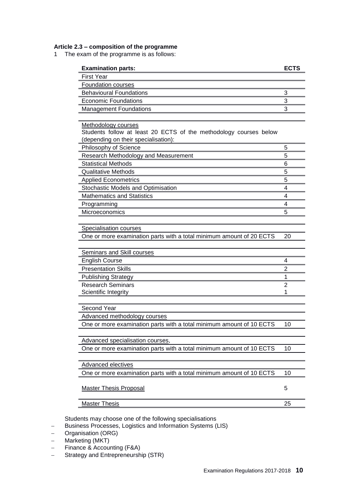# **Article 2.3 – composition of the programme**

1 The exam of the programme is as follows:

| <b>Examination parts:</b>                                                                                                        | <b>ECTS</b> |
|----------------------------------------------------------------------------------------------------------------------------------|-------------|
| <b>First Year</b>                                                                                                                |             |
| <b>Foundation courses</b>                                                                                                        |             |
| <b>Behavioural Foundations</b>                                                                                                   | 3           |
| <b>Economic Foundations</b>                                                                                                      | 3           |
| <b>Management Foundations</b>                                                                                                    | 3           |
|                                                                                                                                  |             |
| Methodology courses<br>Students follow at least 20 ECTS of the methodology courses below<br>(depending on their specialisation): |             |
| Philosophy of Science                                                                                                            | 5           |
| Research Methodology and Measurement                                                                                             | 5           |
| <b>Statistical Methods</b>                                                                                                       | 6           |
| <b>Qualitative Methods</b>                                                                                                       | 5           |
| <b>Applied Econometrics</b>                                                                                                      | 5           |
| Stochastic Models and Optimisation                                                                                               | 4           |
| <b>Mathematics and Statistics</b>                                                                                                | 4           |
| Programming                                                                                                                      | 4           |
| Microeconomics                                                                                                                   | 5           |
|                                                                                                                                  |             |
| <b>Specialisation courses</b>                                                                                                    |             |
| One or more examination parts with a total minimum amount of 20 ECTS                                                             | 20          |
|                                                                                                                                  |             |
| <b>Seminars and Skill courses</b>                                                                                                |             |
| <b>English Course</b>                                                                                                            | 4           |
| <b>Presentation Skills</b>                                                                                                       | 2           |
| <b>Publishing Strategy</b>                                                                                                       | 1           |
| <b>Research Seminars</b>                                                                                                         | 2           |
| Scientific Integrity                                                                                                             | 1           |
| Second Year                                                                                                                      |             |
| Advanced methodology courses                                                                                                     |             |
| One or more examination parts with a total minimum amount of 10 ECTS                                                             | 10          |
|                                                                                                                                  |             |
| Advanced specialisation courses,                                                                                                 |             |
| One or more examination parts with a total minimum amount of 10 ECTS                                                             | 10          |
|                                                                                                                                  |             |
| Advanced electives                                                                                                               |             |
| One or more examination parts with a total minimum amount of 10 ECTS                                                             | 10          |
| <b>Master Thesis Proposal</b>                                                                                                    | 5           |
| <b>Master Thesis</b>                                                                                                             | 25          |
|                                                                                                                                  |             |

Students may choose one of the following specialisations

- Business Processes, Logistics and Information Systems (LIS)

- Organisation (ORG)

- Marketing (MKT)
- Finance & Accounting (F&A)
- Strategy and Entrepreneurship (STR)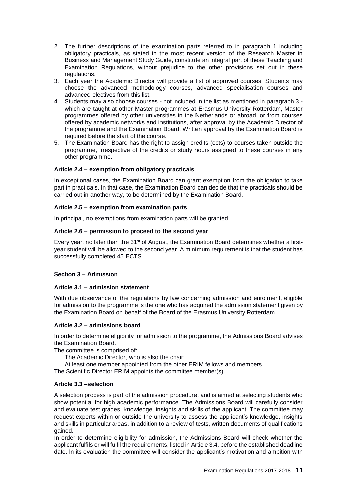- 2. The further descriptions of the examination parts referred to in paragraph 1 including obligatory practicals, as stated in the most recent version of the Research Master in Business and Management Study Guide, constitute an integral part of these Teaching and Examination Regulations, without prejudice to the other provisions set out in these regulations.
- 3. Each year the Academic Director will provide a list of approved courses. Students may choose the advanced methodology courses, advanced specialisation courses and advanced electives from this list.
- 4. Students may also choose courses not included in the list as mentioned in paragraph 3 which are taught at other Master programmes at Erasmus University Rotterdam, Master programmes offered by other universities in the Netherlands or abroad, or from courses offered by academic networks and institutions, after approval by the Academic Director of the programme and the Examination Board. Written approval by the Examination Board is required before the start of the course.
- 5. The Examination Board has the right to assign credits (ects) to courses taken outside the programme, irrespective of the credits or study hours assigned to these courses in any other programme.

# <span id="page-10-0"></span>**Article 2.4 – exemption from obligatory practicals**

In exceptional cases, the Examination Board can grant exemption from the obligation to take part in practicals. In that case, the Examination Board can decide that the practicals should be carried out in another way, to be determined by the Examination Board.

# <span id="page-10-1"></span>**Article 2.5 – exemption from examination parts**

In principal, no exemptions from examination parts will be granted.

# <span id="page-10-2"></span>**Article 2.6 – permission to proceed to the second year**

Every year, no later than the 31st of August, the Examination Board determines whether a firstyear student will be allowed to the second year. A minimum requirement is that the student has successfully completed 45 ECTS.

# <span id="page-10-3"></span>**Section 3 – Admission**

# <span id="page-10-4"></span>**Article 3.1 – admission statement**

With due observance of the regulations by law concerning admission and enrolment, eligible for admission to the programme is the one who has acquired the admission statement given by the Examination Board on behalf of the Board of the Erasmus University Rotterdam.

# <span id="page-10-5"></span>**Article 3.2 – admissions board**

In order to determine eligibility for admission to the programme, the Admissions Board advises the Examination Board.

The committee is comprised of:

- The Academic Director, who is also the chair;
- At least one member appointed from the other ERIM fellows and members.

The Scientific Director ERIM appoints the committee member(s).

# <span id="page-10-6"></span>**Article 3.3 –selection**

A selection process is part of the admission procedure, and is aimed at selecting students who show potential for high academic performance. The Admissions Board will carefully consider and evaluate test grades, knowledge, insights and skills of the applicant. The committee may request experts within or outside the university to assess the applicant's knowledge, insights and skills in particular areas, in addition to a review of tests, written documents of qualifications gained.

In order to determine eligibility for admission, the Admissions Board will check whether the applicant fulfils or will fulfil the requirements, listed in Article 3.4, before the established deadline date. In its evaluation the committee will consider the applicant's motivation and ambition with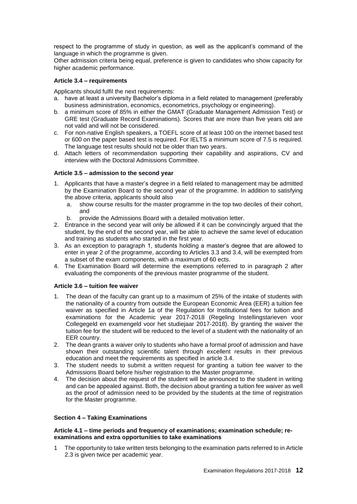respect to the programme of study in question, as well as the applicant's command of the language in which the programme is given.

Other admission criteria being equal, preference is given to candidates who show capacity for higher academic performance.

# <span id="page-11-0"></span>**Article 3.4 – requirements**

Applicants should fulfil the next requirements:

- a. have at least a university Bachelor's diploma in a field related to management (preferably business administration, economics, econometrics, psychology or engineering).
- b. a minimum score of 85% in either the GMAT (Graduate Management Admission Test) or GRE test (Graduate Record Examinations). Scores that are more than five years old are not valid and will not be considered.
- c. For non-native English speakers, a TOEFL score of at least 100 on the internet based test or 600 on the paper based test is required. For IELTS a minimum score of 7.5 is required. The language test results should not be older than two years.
- d. Attach letters of recommendation supporting their capability and aspirations, CV and interview with the Doctoral Admissions Committee.

## <span id="page-11-1"></span>**Article 3.5 – admission to the second year**

- 1. Applicants that have a master's degree in a field related to management may be admitted by the Examination Board to the second year of the programme. In addition to satisfying the above criteria, applicants should also
	- a. show course results for the master programme in the top two deciles of their cohort, and
	- b. provide the Admissions Board with a detailed motivation letter.
- 2. Entrance in the second year will only be allowed if it can be convincingly argued that the student, by the end of the second year, will be able to achieve the same level of education and training as students who started in the first year.
- 3. As an exception to paragraph 1, students holding a master's degree that are allowed to enter in year 2 of the programme, according to Articles 3.3 and 3.4, will be exempted from a subset of the exam components, with a maximum of 60 ects.
- 4. The Examination Board will determine the exemptions referred to in paragraph 2 after evaluating the components of the previous master programme of the student.

# <span id="page-11-2"></span>**Article 3.6 – tuition fee waiver**

- 1. The dean of the faculty can grant up to a maximum of 25% of the intake of students with the nationality of a country from outside the European Economic Area (EER) a tuition fee waiver as specified in Article 1a of the Regulation for Institutional fees for tuition and examinations for the Academic year 2017-2018 (Regeling Instellingstarieven voor Collegegeld en examengeld voor het studiejaar 2017-2018). By granting the waiver the tuition fee for the student will be reduced to the level of a student with the nationality of an EER country.
- 2. The dean grants a waiver only to students who have a formal proof of admission and have shown their outstanding scientific talent through excellent results in their previous education and meet the requirements as specified in article 3.4.
- 3. The student needs to submit a written request for granting a tuition fee waiver to the Admissions Board before his/her registration to the Master programme.
- 4. The decision about the request of the student will be announced to the student in writing and can be appealed against. Both, the decision about granting a tuition fee waiver as well as the proof of admission need to be provided by the students at the time of registration for the Master programme.

### <span id="page-11-3"></span>**Section 4 – Taking Examinations**

## <span id="page-11-4"></span>**Article 4.1 – time periods and frequency of examinations; examination schedule; reexaminations and extra opportunities to take examinations**

1 The opportunity to take written tests belonging to the examination parts referred to in Article 2.3 is given twice per academic year.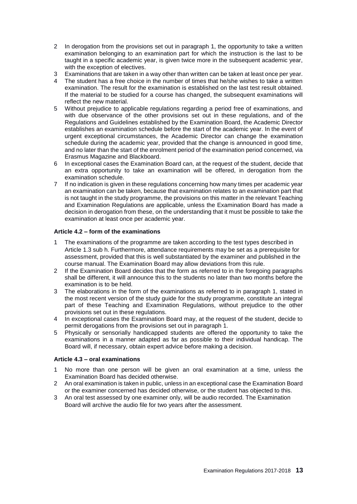- 2 In derogation from the provisions set out in paragraph 1, the opportunity to take a written examination belonging to an examination part for which the instruction is the last to be taught in a specific academic year, is given twice more in the subsequent academic year, with the exception of electives.
- 3 Examinations that are taken in a way other than written can be taken at least once per year.
- 4 The student has a free choice in the number of times that he/she wishes to take a written examination. The result for the examination is established on the last test result obtained. If the material to be studied for a course has changed, the subsequent examinations will reflect the new material.
- 5 Without prejudice to applicable regulations regarding a period free of examinations, and with due observance of the other provisions set out in these regulations, and of the Regulations and Guidelines established by the Examination Board, the Academic Director establishes an examination schedule before the start of the academic year. In the event of urgent exceptional circumstances, the Academic Director can change the examination schedule during the academic year, provided that the change is announced in good time, and no later than the start of the enrolment period of the examination period concerned, via Erasmus Magazine and Blackboard.
- 6 In exceptional cases the Examination Board can, at the request of the student, decide that an extra opportunity to take an examination will be offered, in derogation from the examination schedule.
- 7 If no indication is given in these regulations concerning how many times per academic year an examination can be taken, because that examination relates to an examination part that is not taught in the study programme, the provisions on this matter in the relevant Teaching and Examination Regulations are applicable, unless the Examination Board has made a decision in derogation from these, on the understanding that it must be possible to take the examination at least once per academic year.

# <span id="page-12-0"></span>**Article 4.2 – form of the examinations**

- 1 The examinations of the programme are taken according to the test types described in Article 1.3 sub h. Furthermore, attendance requirements may be set as a prerequisite for assessment, provided that this is well substantiated by the examiner and published in the course manual. The Examination Board may allow deviations from this rule.
- 2 If the Examination Board decides that the form as referred to in the foregoing paragraphs shall be different, it will announce this to the students no later than two months before the examination is to be held.
- 3 The elaborations in the form of the examinations as referred to in paragraph 1, stated in the most recent version of the study guide for the study programme, constitute an integral part of these Teaching and Examination Regulations, without prejudice to the other provisions set out in these regulations.
- 4 In exceptional cases the Examination Board may, at the request of the student, decide to permit derogations from the provisions set out in paragraph 1.
- 5 Physically or sensorially handicapped students are offered the opportunity to take the examinations in a manner adapted as far as possible to their individual handicap. The Board will, if necessary, obtain expert advice before making a decision.

# <span id="page-12-1"></span>**Article 4.3 – oral examinations**

- 1 No more than one person will be given an oral examination at a time, unless the Examination Board has decided otherwise.
- 2 An oral examination is taken in public, unless in an exceptional case the Examination Board or the examiner concerned has decided otherwise, or the student has objected to this.
- 3 An oral test assessed by one examiner only, will be audio recorded. The Examination Board will archive the audio file for two years after the assessment.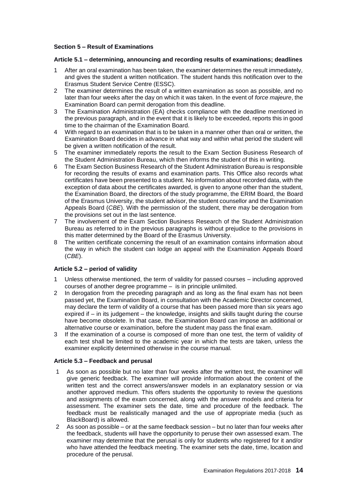# <span id="page-13-0"></span>**Section 5 – Result of Examinations**

# <span id="page-13-1"></span>**Article 5.1 – determining, announcing and recording results of examinations; deadlines**

- 1 After an oral examination has been taken, the examiner determines the result immediately, and gives the student a written notification. The student hands this notification over to the Erasmus Student Service Centre (ESSC).
- 2 The examiner determines the result of a written examination as soon as possible, and no later than four weeks after the day on which it was taken. In the event of *force majeure*, the Examination Board can permit derogation from this deadline.
- 3 The Examination Administration (EA) checks compliance with the deadline mentioned in the previous paragraph, and in the event that it is likely to be exceeded, reports this in good time to the chairman of the Examination Board.
- 4 With regard to an examination that is to be taken in a manner other than oral or written, the Examination Board decides in advance in what way and within what period the student will be given a written notification of the result.
- 5 The examiner immediately reports the result to the Exam Section Business Research of the Student Administration Bureau, which then informs the student of this in writing.
- 6 The Exam Section Business Research of the Student Administration Bureau is responsible for recording the results of exams and examination parts. This Office also records what certificates have been presented to a student. No information about recorded data, with the exception of data about the certificates awarded, is given to anyone other than the student, the Examination Board, the directors of the study programme, the ERIM Board, the Board of the Erasmus University, the student advisor, the student counsellor and the Examination Appeals Board (*CBE*). With the permission of the student, there may be derogation from the provisions set out in the last sentence.
- 7 The involvement of the Exam Section Business Research of the Student Administration Bureau as referred to in the previous paragraphs is without prejudice to the provisions in this matter determined by the Board of the Erasmus University.
- 8 The written certificate concerning the result of an examination contains information about the way in which the student can lodge an appeal with the Examination Appeals Board (*CBE*).

# <span id="page-13-2"></span>**Article 5.2 – period of validity**

- 1 Unless otherwise mentioned, the term of validity for passed courses including approved courses of another degree programme – is in principle unlimited.
- 2 In derogation from the preceding paragraph and as long as the final exam has not been passed yet, the Examination Board, in consultation with the Academic Director concerned, may declare the term of validity of a course that has been passed more than six years ago expired if – in its judgement – the knowledge, insights and skills taught during the course have become obsolete. In that case, the Examination Board can impose an additional or alternative course or examination, before the student may pass the final exam.
- 3 If the examination of a course is composed of more than one test, the term of validity of each test shall be limited to the academic year in which the tests are taken, unless the examiner explicitly determined otherwise in the course manual.

#### <span id="page-13-3"></span>**Article 5.3 – Feedback and perusal**

- 1 As soon as possible but no later than four weeks after the written test, the examiner will give generic feedback. The examiner will provide information about the content of the written test and the correct answers/answer models in an explanatory session or via another approved medium. This offers students the opportunity to review the questions and assignments of the exam concerned, along with the answer models and criteria for assessment. The examiner sets the date, time and procedure of the feedback. The feedback must be realistically managed and the use of appropriate media (such as BlackBoard) is allowed.
- 2 As soon as possible or at the same feedback session but no later than four weeks after the feedback, students will have the opportunity to peruse their own assessed exam. The examiner may determine that the perusal is only for students who registered for it and/or who have attended the feedback meeting. The examiner sets the date, time, location and procedure of the perusal.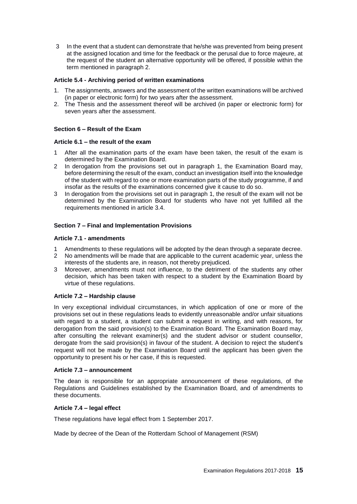3 In the event that a student can demonstrate that he/she was prevented from being present at the assigned location and time for the feedback or the perusal due to force majeure, at the request of the student an alternative opportunity will be offered, if possible within the term mentioned in paragraph 2.

# <span id="page-14-0"></span>**Article 5.4 - Archiving period of written examinations**

- 1. The assignments, answers and the assessment of the written examinations will be archived (in paper or electronic form) for two years after the assessment.
- 2. The Thesis and the assessment thereof will be archived (in paper or electronic form) for seven years after the assessment.

## <span id="page-14-1"></span>**Section 6 – Result of the Exam**

## <span id="page-14-2"></span>**Article 6.1 – the result of the exam**

- 1 After all the examination parts of the exam have been taken, the result of the exam is determined by the Examination Board.
- 2 In derogation from the provisions set out in paragraph 1, the Examination Board may, before determining the result of the exam, conduct an investigation itself into the knowledge of the student with regard to one or more examination parts of the study programme, if and insofar as the results of the examinations concerned give it cause to do so.
- 3 In derogation from the provisions set out in paragraph 1, the result of the exam will not be determined by the Examination Board for students who have not yet fulfilled all the requirements mentioned in article 3.4.

## <span id="page-14-3"></span>**Section 7 – Final and Implementation Provisions**

## <span id="page-14-4"></span>**Article 7.1 - amendments**

- 1 Amendments to these regulations will be adopted by the dean through a separate decree.
- 2 No amendments will be made that are applicable to the current academic year, unless the interests of the students are, in reason, not thereby prejudiced.
- 3 Moreover, amendments must not influence, to the detriment of the students any other decision, which has been taken with respect to a student by the Examination Board by virtue of these regulations.

#### <span id="page-14-5"></span>**Article 7.2 – Hardship clause**

In very exceptional individual circumstances, in which application of one or more of the provisions set out in these regulations leads to evidently unreasonable and/or unfair situations with regard to a student, a student can submit a request in writing, and with reasons, for derogation from the said provision(s) to the Examination Board. The Examination Board may, after consulting the relevant examiner(s) and the student advisor or student counsellor, derogate from the said provision(s) in favour of the student. A decision to reject the student's request will not be made by the Examination Board until the applicant has been given the opportunity to present his or her case, if this is requested.

## <span id="page-14-6"></span>**Article 7.3 – announcement**

The dean is responsible for an appropriate announcement of these regulations, of the Regulations and Guidelines established by the Examination Board, and of amendments to these documents.

#### <span id="page-14-7"></span>**Article 7.4 – legal effect**

These regulations have legal effect from 1 September 2017.

Made by decree of the Dean of the Rotterdam School of Management (RSM)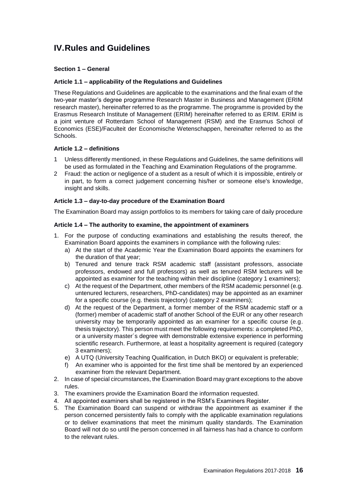# <span id="page-15-0"></span>**IV.Rules and Guidelines**

# <span id="page-15-1"></span>**Section 1 – General**

# <span id="page-15-2"></span>**Article 1.1 – applicability of the Regulations and Guidelines**

These Regulations and Guidelines are applicable to the examinations and the final exam of the two-year master's degree programme Research Master in Business and Management (ERIM research master), hereinafter referred to as the programme. The programme is provided by the Erasmus Research Institute of Management (ERIM) hereinafter referred to as ERIM. ERIM is a joint venture of Rotterdam School of Management (RSM) and the Erasmus School of Economics (ESE)/Faculteit der Economische Wetenschappen, hereinafter referred to as the **Schools** 

# <span id="page-15-3"></span>**Article 1.2 – definitions**

- 1 Unless differently mentioned, in these Regulations and Guidelines, the same definitions will be used as formulated in the Teaching and Examination Regulations of the programme.
- 2 Fraud: the action or negligence of a student as a result of which it is impossible, entirely or in part, to form a correct judgement concerning his/her or someone else's knowledge, insight and skills.

# <span id="page-15-4"></span>**Article 1.3 – day-to-day procedure of the Examination Board**

The Examination Board may assign portfolios to its members for taking care of daily procedure

## <span id="page-15-5"></span>**Article 1.4 – The authority to examine, the appointment of examiners**

- 1. For the purpose of conducting examinations and establishing the results thereof, the Examination Board appoints the examiners in compliance with the following rules:
	- a) At the start of the Academic Year the Examination Board appoints the examiners for the duration of that year;
	- b) Tenured and tenure track RSM academic staff (assistant professors, associate professors, endowed and full professors) as well as tenured RSM lecturers will be appointed as examiner for the teaching within their discipline (category 1 examiners);
	- c) At the request of the Department, other members of the RSM academic personnel (e.g. untenured lecturers, researchers, PhD-candidates) may be appointed as an examiner for a specific course (e.g. thesis trajectory) (category 2 examiners);
	- d) At the request of the Department, a former member of the RSM academic staff or a (former) member of academic staff of another School of the EUR or any other research university may be temporarily appointed as an examiner for a specific course (e.g. thesis trajectory). This person must meet the following requirements: a completed PhD, or a university master´s degree with demonstrable extensive experience in performing scientific research. Furthermore, at least a hospitality agreement is required (category 3 examiners);
	- e) A UTQ (University Teaching Qualification, in Dutch BKO) or equivalent is preferable;
	- f) An examiner who is appointed for the first time shall be mentored by an experienced examiner from the relevant Department.
- 2. In case of special circumstances, the Examination Board may grant exceptions to the above rules.
- 3. The examiners provide the Examination Board the information requested.
- 4. All appointed examiners shall be registered in the RSM's Examiners Register.
- 5. The Examination Board can suspend or withdraw the appointment as examiner if the person concerned persistently fails to comply with the applicable examination regulations or to deliver examinations that meet the minimum quality standards. The Examination Board will not do so until the person concerned in all fairness has had a chance to conform to the relevant rules.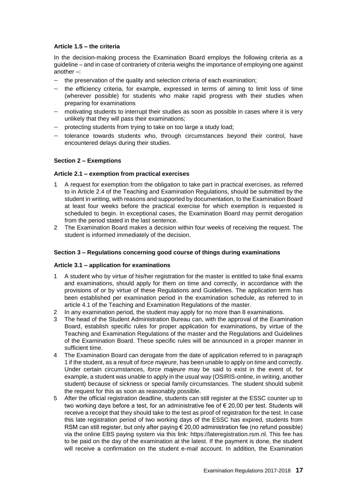# <span id="page-16-0"></span>**Article 1.5 – the criteria**

In the decision-making process the Examination Board employs the following criteria as a guideline – and in case of contrariety of criteria weighs the importance of employing one against another –:

- the preservation of the quality and selection criteria of each examination;
- $-$  the efficiency criteria, for example, expressed in terms of aiming to limit loss of time (wherever possible) for students who make rapid progress with their studies when preparing for examinations
- motivating students to interrupt their studies as soon as possible in cases where it is very unlikely that they will pass their examinations;
- protecting students from trying to take on too large a study load;
- tolerance towards students who, through circumstances beyond their control, have encountered delays during their studies.

## <span id="page-16-1"></span>**Section 2 – Exemptions**

## <span id="page-16-2"></span>**Article 2.1 – exemption from practical exercises**

- 1 A request for exemption from the obligation to take part in practical exercises, as referred to in Article 2.4 of the Teaching and Examination Regulations, should be submitted by the student in writing, with reasons and supported by documentation, to the Examination Board at least four weeks before the practical exercise for which exemption is requested is scheduled to begin. In exceptional cases, the Examination Board may permit derogation from the period stated in the last sentence.
- 2 The Examination Board makes a decision within four weeks of receiving the request. The student is informed immediately of the decision.

### <span id="page-16-3"></span>**Section 3 – Regulations concerning good course of things during examinations**

#### <span id="page-16-4"></span>**Article 3.1 – application for examinations**

- 1 A student who by virtue of his/her registration for the master is entitled to take final exams and examinations, should apply for them on time and correctly, in accordance with the provisions of or by virtue of these Regulations and Guidelines. The application term has been established per examination period in the examination schedule, as referred to in article 4.1 of the Teaching and Examination Regulations of the master.
- 2 In any examination period, the student may apply for no more than 8 examinations.
- 3 The head of the Student Administration Bureau can, with the approval of the Examination Board, establish specific rules for proper application for examinations, by virtue of the Teaching and Examination Regulations of the master and the Regulations and Guidelines of the Examination Board. These specific rules will be announced in a proper manner in sufficient time.
- 4 The Examination Board can derogate from the date of application referred to in paragraph 1 if the student, as a result of *force majeure*, has been unable to apply on time and correctly. Under certain circumstances, *force majeure* may be said to exist in the event of, for example, a student was unable to apply in the usual way (OSIRIS-online, in writing, another student) because of sickness or special family circumstances. The student should submit the request for this as soon as reasonably possible.
- 5 After the official registration deadline, students can still register at the ESSC counter up to two working days before a test, for an administrative fee of  $\epsilon$  20,00 per test. Students will receive a receipt that they should take to the test as proof of registration for the test. In case this late registration period of two working days of the ESSC has expired, students from RSM can still register, but only after paying  $\epsilon$  20,00 administration fee (no refund possible) via the online EBS paying system via this link: https://lateregistration.rsm.nl. This fee has to be paid on the day of the examination at the latest. If the payment is done, the student will receive a confirmation on the student e-mail account. In addition, the Examination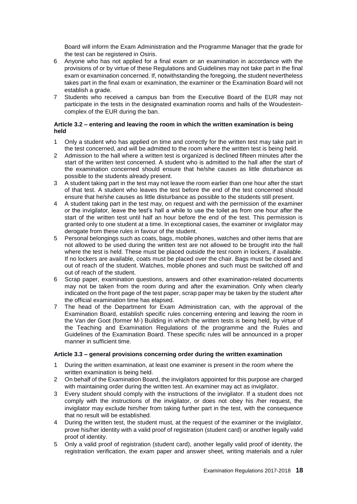Board will inform the Exam Administration and the Programme Manager that the grade for the test can be registered in Osiris.

- 6 Anyone who has not applied for a final exam or an examination in accordance with the provisions of or by virtue of these Regulations and Guidelines may not take part in the final exam or examination concerned. If, notwithstanding the foregoing, the student nevertheless takes part in the final exam or examination, the examiner or the Examination Board will not establish a grade.
- 7 Students who received a campus ban from the Executive Board of the EUR may not participate in the tests in the designated examination rooms and halls of the Woudesteincomplex of the EUR during the ban.

# <span id="page-17-0"></span>**Article 3.2 – entering and leaving the room in which the written examination is being held**

- 1 Only a student who has applied on time and correctly for the written test may take part in the test concerned, and will be admitted to the room where the written test is being held.
- 2 Admission to the hall where a written test is organized is declined fifteen minutes after the start of the written test concerned. A student who is admitted to the hall after the start of the examination concerned should ensure that he/she causes as little disturbance as possible to the students already present.
- 3 A student taking part in the test may not leave the room earlier than one hour after the start of that test. A student who leaves the test before the end of the test concerned should ensure that he/she causes as little disturbance as possible to the students still present.
- 4 A student taking part in the test may, on request and with the permission of the examiner or the invigilator, leave the test's hall a while to use the toilet as from one hour after the start of the written test until half an hour before the end of the test. This permission is granted only to one student at a time. In exceptional cases, the examiner or invigilator may derogate from these rules in favour of the student.
- 5 Personal belongings such as coats, bags, mobile phones, watches and other items that are not allowed to be used during the written test are not allowed to be brought into the hall where the test is held. These must be placed outside the test room in lockers, if available. If no lockers are available, coats must be placed over the chair. Bags must be closed and out of reach of the student. Watches, mobile phones and such must be switched off and out of reach of the student.
- 6 Scrap paper, examination questions, answers and other examination-related documents may not be taken from the room during and after the examination. Only when clearly indicated on the front page of the test paper, scrap paper may be taken by the student after the official examination time has elapsed.
- 7 The head of the Department for Exam Administration can, with the approval of the Examination Board, establish specific rules concerning entering and leaving the room in the Van der Goot (former M-) Building in which the written tests is being held, by virtue of the Teaching and Examination Regulations of the programme and the Rules and Guidelines of the Examination Board. These specific rules will be announced in a proper manner in sufficient time.

# <span id="page-17-1"></span>**Article 3.3 – general provisions concerning order during the written examination**

- 1 During the written examination, at least one examiner is present in the room where the written examination is being held.
- 2 On behalf of the Examination Board, the invigilators appointed for this purpose are charged with maintaining order during the written test. An examiner may act as invigilator.
- 3 Every student should comply with the instructions of the invigilator. If a student does not comply with the instructions of the invigilator, or does not obey his /her request, the invigilator may exclude him/her from taking further part in the test, with the consequence that no result will be established.
- 4 During the written test, the student must, at the request of the examiner or the invigilator, prove his/her identity with a valid proof of registration (student card) or another legally valid proof of identity.
- 5 Only a valid proof of registration (student card), another legally valid proof of identity, the registration verification, the exam paper and answer sheet, writing materials and a ruler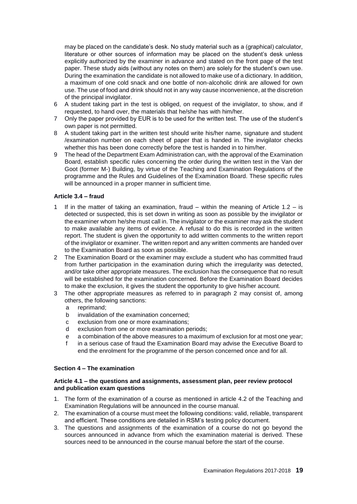may be placed on the candidate's desk. No study material such as a (graphical) calculator, literature or other sources of information may be placed on the student's desk unless explicitly authorized by the examiner in advance and stated on the front page of the test paper. These study aids (without any notes on them) are solely for the student's own use. During the examination the candidate is not allowed to make use of a dictionary. In addition, a maximum of one cold snack and one bottle of non-alcoholic drink are allowed for own use. The use of food and drink should not in any way cause inconvenience, at the discretion of the principal invigilator.

- 6 A student taking part in the test is obliged, on request of the invigilator, to show, and if requested, to hand over, the materials that he/she has with him/her.
- 7 Only the paper provided by EUR is to be used for the written test. The use of the student's own paper is not permitted.
- 8 A student taking part in the written test should write his/her name, signature and student /examination number on each sheet of paper that is handed in. The invigilator checks whether this has been done correctly before the test is handed in to him/her.
- 9 The head of the Department Exam Administration can, with the approval of the Examination Board, establish specific rules concerning the order during the written test in the Van der Goot (former M-) Building, by virtue of the Teaching and Examination Regulations of the programme and the Rules and Guidelines of the Examination Board. These specific rules will be announced in a proper manner in sufficient time.

## <span id="page-18-0"></span>**Article 3.4 – fraud**

- If in the matter of taking an examination, fraud within the meaning of Article  $1.2 is$ detected or suspected, this is set down in writing as soon as possible by the invigilator or the examiner whom he/she must call in. The invigilator or the examiner may ask the student to make available any items of evidence. A refusal to do this is recorded in the written report. The student is given the opportunity to add written comments to the written report of the invigilator or examiner. The written report and any written comments are handed over to the Examination Board as soon as possible.
- 2 The Examination Board or the examiner may exclude a student who has committed fraud from further participation in the examination during which the irregularity was detected, and/or take other appropriate measures. The exclusion has the consequence that no result will be established for the examination concerned. Before the Examination Board decides to make the exclusion, it gives the student the opportunity to give his/her account.
- 3 The other appropriate measures as referred to in paragraph 2 may consist of, among others, the following sanctions:
	- a reprimand;
	- b invalidation of the examination concerned;
	- c exclusion from one or more examinations;
	- d exclusion from one or more examination periods;
	- e a combination of the above measures to a maximum of exclusion for at most one year;
	- f in a serious case of fraud the Examination Board may advise the Executive Board to end the enrolment for the programme of the person concerned once and for all.

#### <span id="page-18-1"></span>**Section 4 – The examination**

## <span id="page-18-2"></span>**Article 4.1 – the questions and assignments, assessment plan, peer review protocol and publication exam questions**

- 1. The form of the examination of a course as mentioned in article 4.2 of the Teaching and Examination Regulations will be announced in the course manual.
- 2. The examination of a course must meet the following conditions: valid, reliable, transparent and efficient. These conditions are detailed in RSM's testing policy document.
- 3. The questions and assignments of the examination of a course do not go beyond the sources announced in advance from which the examination material is derived. These sources need to be announced in the course manual before the start of the course.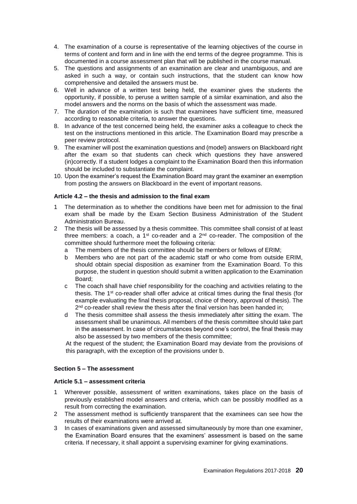- 4. The examination of a course is representative of the learning objectives of the course in terms of content and form and in line with the end terms of the degree programme. This is documented in a course assessment plan that will be published in the course manual.
- 5. The questions and assignments of an examination are clear and unambiguous, and are asked in such a way, or contain such instructions, that the student can know how comprehensive and detailed the answers must be.
- 6. Well in advance of a written test being held, the examiner gives the students the opportunity, if possible, to peruse a written sample of a similar examination, and also the model answers and the norms on the basis of which the assessment was made.
- 7. The duration of the examination is such that examinees have sufficient time, measured according to reasonable criteria, to answer the questions.
- 8. In advance of the test concerned being held, the examiner asks a colleague to check the test on the instructions mentioned in this article. The Examination Board may prescribe a peer review protocol.
- 9. The examiner will post the examination questions and (model) answers on Blackboard right after the exam so that students can check which questions they have answered (in)correctly. If a student lodges a complaint to the Examination Board then this information should be included to substantiate the complaint.
- 10. Upon the examiner's request the Examination Board may grant the examiner an exemption from posting the answers on Blackboard in the event of important reasons.

# <span id="page-19-0"></span>**Article 4.2 – the thesis and admission to the final exam**

- 1 The determination as to whether the conditions have been met for admission to the final exam shall be made by the Exam Section Business Administration of the Student Administration Bureau.
- 2 The thesis will be assessed by a thesis committee. This committee shall consist of at least three members: a coach, a  $1^{st}$  co-reader and a  $2^{nd}$  co-reader. The composition of the committee should furthermore meet the following criteria:
	- a The members of the thesis committee should be members or fellows of ERIM;
	- b Members who are not part of the academic staff or who come from outside ERIM, should obtain special disposition as examiner from the Examination Board. To this purpose, the student in question should submit a written application to the Examination Board;
	- c The coach shall have chief responsibility for the coaching and activities relating to the thesis. The 1st co-reader shall offer advice at critical times during the final thesis (for example evaluating the final thesis proposal, choice of theory, approval of thesis). The 2<sup>nd</sup> co-reader shall review the thesis after the final version has been handed in;
	- d The thesis committee shall assess the thesis immediately after sitting the exam. The assessment shall be unanimous. All members of the thesis committee should take part in the assessment. In case of circumstances beyond one's control, the final thesis may also be assessed by two members of the thesis committee;

At the request of the student; the Examination Board may deviate from the provisions of this paragraph, with the exception of the provisions under b.

# <span id="page-19-1"></span>**Section 5 – The assessment**

#### <span id="page-19-2"></span>**Article 5.1 – assessment criteria**

- 1 Wherever possible, assessment of written examinations, takes place on the basis of previously established model answers and criteria, which can be possibly modified as a result from correcting the examination.
- 2 The assessment method is sufficiently transparent that the examinees can see how the results of their examinations were arrived at.
- 3 In cases of examinations given and assessed simultaneously by more than one examiner, the Examination Board ensures that the examiners' assessment is based on the same criteria. If necessary, it shall appoint a supervising examiner for giving examinations.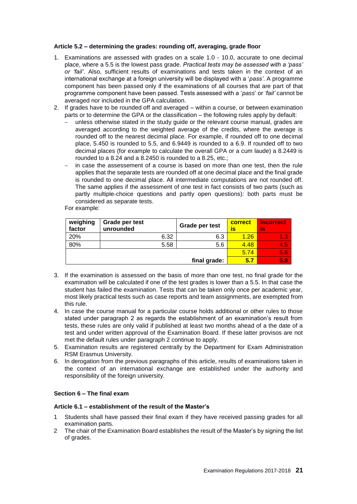## <span id="page-20-0"></span>**Article 5.2 – determining the grades: rounding off, averaging, grade floor**

- 1. Examinations are assessed with grades on a scale 1.0 10.0, accurate to one decimal place, where a 5.5 is the lowest pass grade. *Practical tests may be assessed with a 'pass' or 'fail'*. Also, sufficient results of examinations and tests taken in the context of an international exchange at a foreign university will be displayed with a '*pass'*. A programme component has been passed only if the examinations of all courses that are part of that programme component have been passed. Tests assessed with a '*pass*' or *'fail'* cannot be averaged nor included in the GPA calculation.
- 2. If grades have to be rounded off and averaged within a course, or between examination parts or to determine the GPA or the classification – the following rules apply by default:
	- unless otherwise stated in the study guide or the relevant course manual, grades are averaged according to the weighted average of the credits, where the average is rounded off to the nearest decimal place. For example, if rounded off to one decimal place, 5.450 is rounded to 5.5, and 6.9449 is rounded to a 6.9. If rounded off to two decimal places (for example to calculate the overall GPA or a cum laude) a 8.2449 is rounded to a 8.24 and a 8.2450 is rounded to a 8.25, etc.;
	- in case the assessement of a course is based on more than one test, then the rule applies that the separate tests are rounded off at one decimal place and the final grade is rounded to one decimal place. All intermediate computations are not rounded off. The same applies if the assessment of one test in fact consists of two parts (such as partly multiple-choice questions and partly open questions): both parts must be considered as separate tests.

For example:

| weighing<br>factor | Grade per test<br>unrounded |      | Grade per test | correct<br>IS | <b>incorrect</b><br>is' |
|--------------------|-----------------------------|------|----------------|---------------|-------------------------|
| 20%                |                             | 6.32 | 6.3            | 1.26          | 1.3                     |
| 80%                |                             | 5.58 | 5.6            | 4.48          | 4.5                     |
|                    | 5.74                        | 5.8  |                |               |                         |
|                    |                             |      | final grade:   | 5.7           | 5.8                     |

- 3. If the examination is assessed on the basis of more than one test, no final grade for the examination will be calculated if one of the test grades is lower than a 5.5. In that case the student has failed the examination. Tests that can be taken only once per academic year, most likely practical tests such as case reports and team assignments, are exempted from this rule.
- 4. In case the course manual for a particular course holds additional or other rules to those stated under paragraph 2 as regards the establishment of an examination's result from tests, these rules are only valid if published at least two months ahead of a the date of a test and under written approval of the Examination Board. If these latter provisos are not met the default rules under paragraph 2 continue to apply.
- 5. Examination results are registered centrally by the Department for Exam Administration RSM Erasmus University.
- 6. In derogation from the previous paragraphs of this article, results of examinations taken in the context of an international exchange are established under the authority and responsibility of the foreign university.

### <span id="page-20-1"></span>**Section 6 – The final exam**

#### <span id="page-20-2"></span>**Article 6.1 – establishment of the result of the Master's**

- 1 Students shall have passed their final exam if they have received passing grades for all examination parts.
- 2 The chair of the Examination Board establishes the result of the Master's by signing the list of grades.